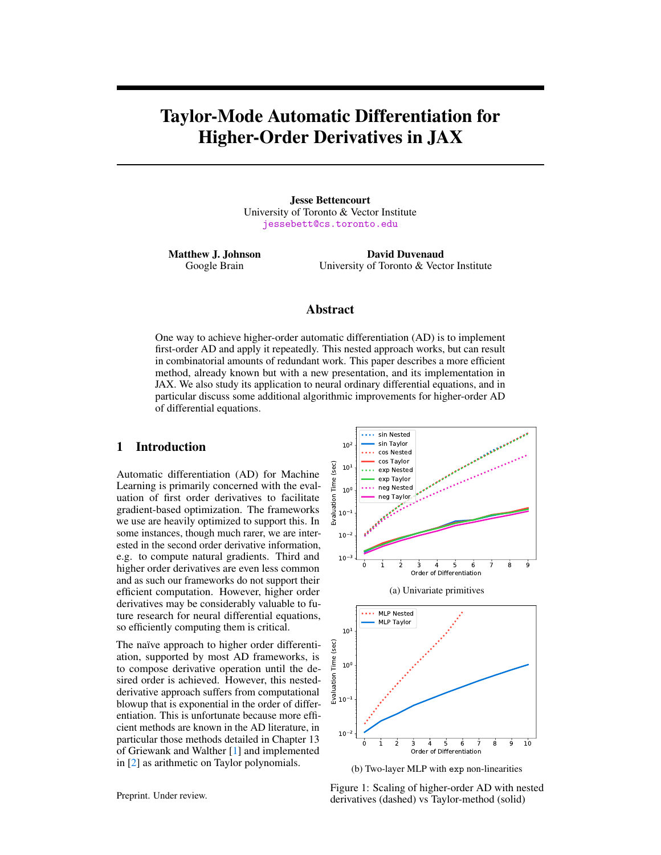# Taylor-Mode Automatic Differentiation for Higher-Order Derivatives in JAX

Jesse Bettencourt University of Toronto & Vector Institute <jessebett@cs.toronto.edu>

Matthew J. Johnson Google Brain

David Duvenaud University of Toronto & Vector Institute

# Abstract

One way to achieve higher-order automatic differentiation (AD) is to implement first-order AD and apply it repeatedly. This nested approach works, but can result in combinatorial amounts of redundant work. This paper describes a more efficient method, already known but with a new presentation, and its implementation in JAX. We also study its application to neural ordinary differential equations, and in particular discuss some additional algorithmic improvements for higher-order AD of differential equations.

# 1 Introduction

Automatic differentiation (AD) for Machine Learning is primarily concerned with the evaluation of first order derivatives to facilitate gradient-based optimization. The frameworks we use are heavily optimized to support this. In some instances, though much rarer, we are interested in the second order derivative information, e.g. to compute natural gradients. Third and higher order derivatives are even less common and as such our frameworks do not support their efficient computation. However, higher order derivatives may be considerably valuable to future research for neural differential equations, so efficiently computing them is critical.

The naïve approach to higher order differentiation, supported by most AD frameworks, is to compose derivative operation until the desired order is achieved. However, this nestedderivative approach suffers from computational blowup that is exponential in the order of differentiation. This is unfortunate because more efficient methods are known in the AD literature, in particular those methods detailed in Chapter 13 of Griewank and Walther [\[1\]](#page-4-0) and implemented in [\[2\]](#page-4-1) as arithmetic on Taylor polynomials.

<span id="page-0-0"></span>

(b) Two-layer MLP with exp non-linearities

Figure 1: Scaling of higher-order AD with nested derivatives (dashed) vs Taylor-method (solid)

Preprint. Under review.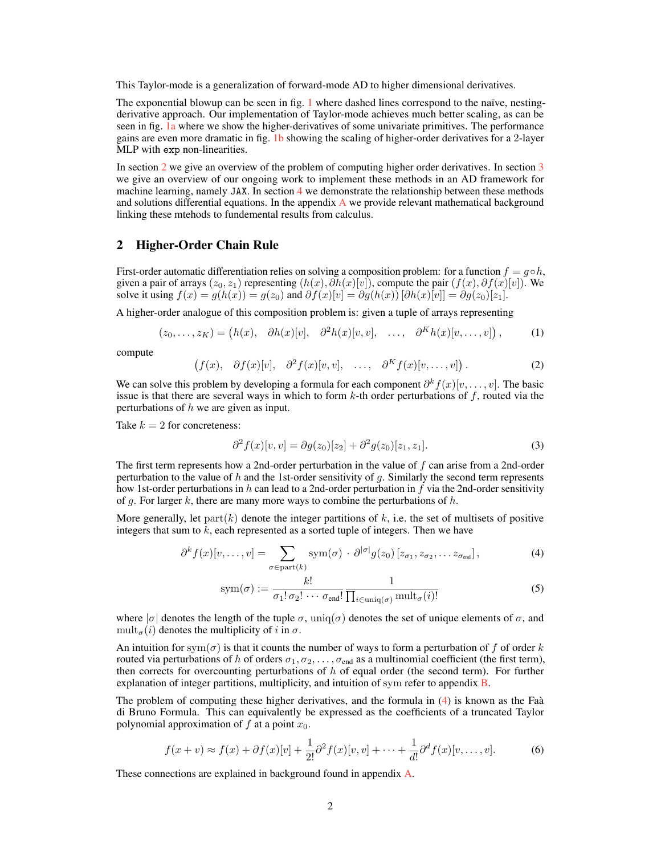This Taylor-mode is a generalization of forward-mode AD to higher dimensional derivatives.

The exponential blowup can be seen in fig. [1](#page-0-0) where dashed lines correspond to the naïve, nestingderivative approach. Our implementation of Taylor-mode achieves much better scaling, as can be seen in fig. [1a](#page-0-0) where we show the higher-derivatives of some univariate primitives. The performance gains are even more dramatic in fig. [1b](#page-0-0) showing the scaling of higher-order derivatives for a 2-layer MLP with exp non-linearities.

In section [2](#page-1-0) we give an overview of the problem of computing higher order derivatives. In section [3](#page-2-0) we give an overview of our ongoing work to implement these methods in an AD framework for machine learning, namely JAX. In section [4](#page-3-0) we demonstrate the relationship between these methods and solutions differential equations. In the appendix  $\bf{A}$  $\bf{A}$  $\bf{A}$  we provide relevant mathematical background linking these mtehods to fundemental results from calculus.

# <span id="page-1-0"></span>2 Higher-Order Chain Rule

First-order automatic differentiation relies on solving a composition problem: for a function  $f = g \circ h$ , given a pair of arrays  $(z_0, z_1)$  representing  $(h(x), \partial h(x)[v])$ , compute the pair  $(f(x), \partial f(x)[v])$ . We solve it using  $f(x) = g(h(x)) = g(z_0)$  and  $\partial f(x)[v] = \partial g(h(x)) [\partial h(x)[v]] = \partial g(z_0)[z_1]$ .

A higher-order analogue of this composition problem is: given a tuple of arrays representing

$$
(z_0, \ldots, z_K) = (h(x), \quad \partial h(x)[v], \quad \partial^2 h(x)[v, v], \quad \ldots, \quad \partial^K h(x)[v, \ldots, v]\big), \tag{1}
$$

compute

$$
(f(x), \partial f(x)[v], \partial^2 f(x)[v, v], \dots, \partial^K f(x)[v, \dots, v]). \tag{2}
$$

We can solve this problem by developing a formula for each component  $\partial^k f(x)[v, \dots, v]$ . The basic issue is that there are several ways in which to form  $k$ -th order perturbations of f, routed via the perturbations of h we are given as input.

Take  $k = 2$  for concreteness:

$$
\partial^2 f(x)[v, v] = \partial g(z_0)[z_2] + \partial^2 g(z_0)[z_1, z_1].\tag{3}
$$

The first term represents how a 2nd-order perturbation in the value of f can arise from a 2nd-order perturbation to the value of h and the 1st-order sensitivity of q. Similarly the second term represents how 1st-order perturbations in h can lead to a 2nd-order perturbation in f via the 2nd-order sensitivity of g. For larger k, there are many more ways to combine the perturbations of  $h$ .

More generally, let  $part(k)$  denote the integer partitions of k, i.e. the set of multisets of positive integers that sum to  $k$ , each represented as a sorted tuple of integers. Then we have

$$
\partial^k f(x)[v,\ldots,v] = \sum_{\sigma \in \text{part}(k)} \text{sym}(\sigma) \cdot \partial^{|\sigma|} g(z_0) [z_{\sigma_1}, z_{\sigma_2}, \ldots z_{\sigma_{\text{end}}}], \tag{4}
$$

<span id="page-1-1"></span>
$$
sym(\sigma) := \frac{k!}{\sigma_1! \sigma_2! \cdots \sigma_{end}!} \frac{1}{\prod_{i \in \text{uniq}(\sigma)} \text{mult}_{\sigma}(i)!}
$$
(5)

where  $|\sigma|$  denotes the length of the tuple  $\sigma$ , uniq( $\sigma$ ) denotes the set of unique elements of  $\sigma$ , and mult<sub> $\sigma(i)$ </sub> denotes the multiplicity of i in  $\sigma$ .

An intuition for sym $(\sigma)$  is that it counts the number of ways to form a perturbation of f of order k routed via perturbations of h of orders  $\sigma_1, \sigma_2, \ldots, \sigma_{end}$  as a multinomial coefficient (the first term), then corrects for overcounting perturbations of  $h$  of equal order (the second term). For further explanation of integer partitions, multiplicity, and intuition of sym refer to appendix **B**.

The problem of computing these higher derivatives, and the formula in [\(4\)](#page-1-1) is known as the Faà di Bruno Formula. This can equivalently be expressed as the coefficients of a truncated Taylor polynomial approximation of  $f$  at a point  $x_0$ .

$$
f(x+v) \approx f(x) + \partial f(x)[v] + \frac{1}{2!} \partial^2 f(x)[v, v] + \dots + \frac{1}{d!} \partial^d f(x)[v, \dots, v].
$$
 (6)

These connections are explained in background found in appendix [A.](#page-5-0)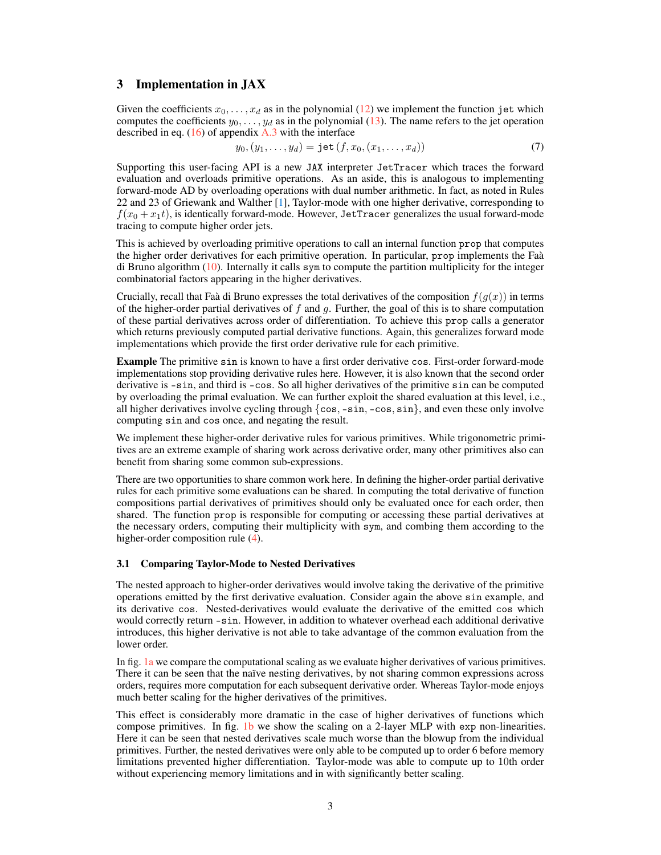# <span id="page-2-0"></span>3 Implementation in JAX

Given the coefficients  $x_0, \ldots, x_d$  as in the polynomial [\(12\)](#page-5-1) we implement the function jet which computes the coefficients  $y_0, \ldots, y_d$  as in the polynomial [\(13\)](#page-5-2). The name refers to the jet operation described in eq.  $(16)$  of appendix [A.3](#page-6-2) with the interface

$$
y_0, (y_1, \dots, y_d) = \text{jet}(f, x_0, (x_1, \dots, x_d))
$$
\n(7)

Supporting this user-facing API is a new JAX interpreter JetTracer which traces the forward evaluation and overloads primitive operations. As an aside, this is analogous to implementing forward-mode AD by overloading operations with dual number arithmetic. In fact, as noted in Rules 22 and 23 of Griewank and Walther [\[1\]](#page-4-0), Taylor-mode with one higher derivative, corresponding to  $f(x_0 + x_1t)$ , is identically forward-mode. However, JetTracer generalizes the usual forward-mode tracing to compute higher order jets.

This is achieved by overloading primitive operations to call an internal function prop that computes the higher order derivatives for each primitive operation. In particular, prop implements the Faà di Bruno algorithm [\(10\)](#page-5-3). Internally it calls sym to compute the partition multiplicity for the integer combinatorial factors appearing in the higher derivatives.

Crucially, recall that Faà di Bruno expresses the total derivatives of the composition  $f(q(x))$  in terms of the higher-order partial derivatives of  $f$  and  $g$ . Further, the goal of this is to share computation of these partial derivatives across order of differentiation. To achieve this prop calls a generator which returns previously computed partial derivative functions. Again, this generalizes forward mode implementations which provide the first order derivative rule for each primitive.

Example The primitive sin is known to have a first order derivative cos. First-order forward-mode implementations stop providing derivative rules here. However, it is also known that the second order derivative is -sin, and third is -cos. So all higher derivatives of the primitive sin can be computed by overloading the primal evaluation. We can further exploit the shared evaluation at this level, i.e., all higher derivatives involve cycling through  $\{\cos, -\sin, -\cos, \sin\}$ , and even these only involve computing sin and cos once, and negating the result.

We implement these higher-order derivative rules for various primitives. While trigonometric primitives are an extreme example of sharing work across derivative order, many other primitives also can benefit from sharing some common sub-expressions.

There are two opportunities to share common work here. In defining the higher-order partial derivative rules for each primitive some evaluations can be shared. In computing the total derivative of function compositions partial derivatives of primitives should only be evaluated once for each order, then shared. The function prop is responsible for computing or accessing these partial derivatives at the necessary orders, computing their multiplicity with sym, and combing them according to the higher-order composition rule [\(4\)](#page-1-1).

## 3.1 Comparing Taylor-Mode to Nested Derivatives

The nested approach to higher-order derivatives would involve taking the derivative of the primitive operations emitted by the first derivative evaluation. Consider again the above sin example, and its derivative cos. Nested-derivatives would evaluate the derivative of the emitted cos which would correctly return -sin. However, in addition to whatever overhead each additional derivative introduces, this higher derivative is not able to take advantage of the common evaluation from the lower order.

In fig. [1a](#page-0-0) we compare the computational scaling as we evaluate higher derivatives of various primitives. There it can be seen that the naïve nesting derivatives, by not sharing common expressions across orders, requires more computation for each subsequent derivative order. Whereas Taylor-mode enjoys much better scaling for the higher derivatives of the primitives.

This effect is considerably more dramatic in the case of higher derivatives of functions which compose primitives. In fig. [1b](#page-0-0) we show the scaling on a 2-layer MLP with exp non-linearities. Here it can be seen that nested derivatives scale much worse than the blowup from the individual primitives. Further, the nested derivatives were only able to be computed up to order 6 before memory limitations prevented higher differentiation. Taylor-mode was able to compute up to 10th order without experiencing memory limitations and in with significantly better scaling.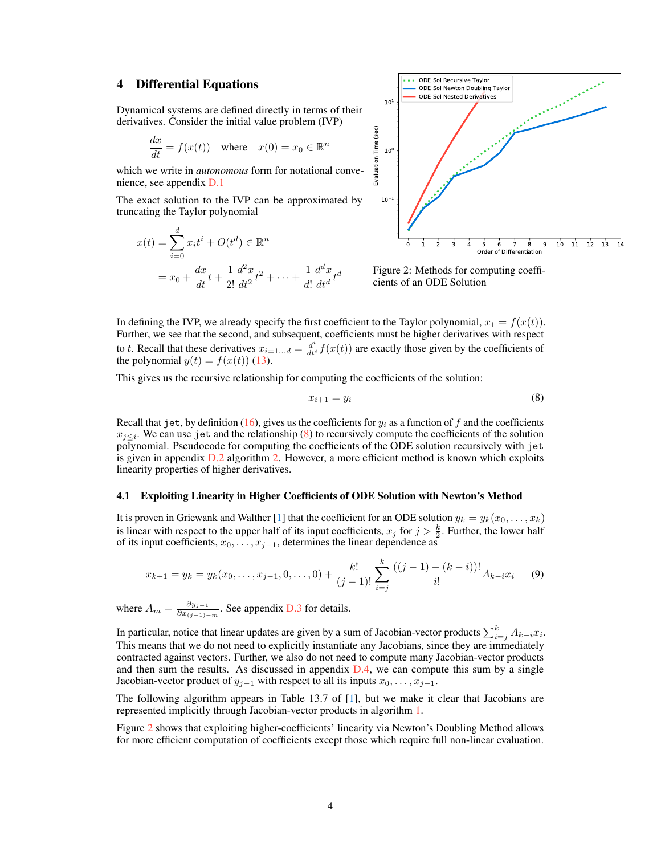# <span id="page-3-0"></span>4 Differential Equations

Dynamical systems are defined directly in terms of their derivatives. Consider the initial value problem (IVP)

$$
\frac{dx}{dt} = f(x(t)) \quad \text{where} \quad x(0) = x_0 \in \mathbb{R}^n
$$

which we write in *autonomous* form for notational convenience, see appendix [D.1](#page-10-0)

The exact solution to the IVP can be approximated by truncating the Taylor polynomial

$$
x(t) = \sum_{i=0}^{d} x_i t^i + O(t^d) \in \mathbb{R}^n
$$
  
=  $x_0 + \frac{dx}{dt}t + \frac{1}{2!} \frac{d^2x}{dt^2}t^2 + \dots + \frac{1}{d!} \frac{d^d x}{dt^d}t^d$ 

<span id="page-3-2"></span>

Figure 2: Methods for computing coefficients of an ODE Solution

In defining the IVP, we already specify the first coefficient to the Taylor polynomial,  $x_1 = f(x(t))$ . Further, we see that the second, and subsequent, coefficients must be higher derivatives with respect to t. Recall that these derivatives  $x_{i=1...d} = \frac{d^i}{dt^i} f(x(t))$  are exactly those given by the coefficients of the polynomial  $y(t) = f(x(t))$  [\(13\)](#page-5-2).

This gives us the recursive relationship for computing the coefficients of the solution:

<span id="page-3-1"></span>
$$
x_{i+1} = y_i \tag{8}
$$

Recall that jet, by definition [\(16\)](#page-6-1), gives us the coefficients for  $y_i$  as a function of f and the coefficients  $x_{j\leq i}$ . We can use jet and the relationship [\(8\)](#page-3-1) to recursively compute the coefficients of the solution polynomial. Pseudocode for computing the coefficients of the ODE solution recursively with jet is given in appendix  $D.2$  algorithm [2.](#page-10-2) However, a more efficient method is known which exploits linearity properties of higher derivatives.

## 4.1 Exploiting Linearity in Higher Coefficients of ODE Solution with Newton's Method

It is proven in Griewank and Walther [\[1\]](#page-4-0) that the coefficient for an ODE solution  $y_k = y_k(x_0, \ldots, x_k)$ is linear with respect to the upper half of its input coefficients,  $x_j$  for  $j > \frac{k}{2}$ . Further, the lower half of its input coefficients,  $x_0, \ldots, x_{j-1}$ , determines the linear dependence as

$$
x_{k+1} = y_k = y_k(x_0, \dots, x_{j-1}, 0, \dots, 0) + \frac{k!}{(j-1)!} \sum_{i=j}^k \frac{((j-1) - (k-i))!}{i!} A_{k-i} x_i \tag{9}
$$

where  $A_m = \frac{\partial y_{j-1}}{\partial x_{(j-1)}}$  $\frac{\partial y_{j-1}}{\partial x_{(j-1)-m}}$ . See appendix [D.3](#page-10-3) for details.

In particular, notice that linear updates are given by a sum of Jacobian-vector products  $\sum_{i=j}^{k} A_{k-i}x_i$ . This means that we do not need to explicitly instantiate any Jacobians, since they are immediately contracted against vectors. Further, we also do not need to compute many Jacobian-vector products and then sum the results. As discussed in appendix  $D.4$ , we can compute this sum by a single Jacobian-vector product of  $y_{j-1}$  with respect to all its inputs  $x_0, \ldots, x_{j-1}$ .

The following algorithm appears in Table 13.7 of [\[1\]](#page-4-0), but we make it clear that Jacobians are represented implicitly through Jacobian-vector products in algorithm [1.](#page-4-2)

Figure [2](#page-3-2) shows that exploiting higher-coefficients' linearity via Newton's Doubling Method allows for more efficient computation of coefficients except those which require full non-linear evaluation.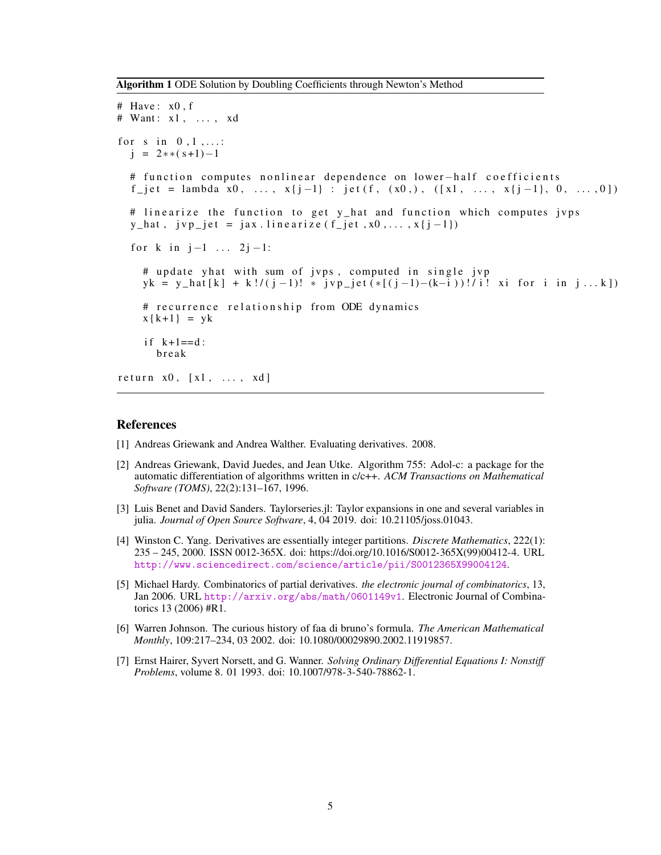<span id="page-4-2"></span>Algorithm 1 ODE Solution by Doubling Coefficients through Newton's Method

```
# Have: x0, f# Want: x1, ..., xd
for s in 0, 1, \ldots:
  j = 2**(<i>s</i>+1)-1# function computes nonlinear dependence on lower-half coefficients
  f_{j} = lambda x0, ..., x{j-1} : jet (f, (x0,), ([x1, ..., x{j-1}, 0, ...,0])
  # linearize the function to get y_hat and function which computes jvps
  y_hat, jvp_jet = jax.linearize (f_jet, x0, \ldots, x\{j-1\})for k in j-1 ... 2j-1:
    # update yhat with sum of jvps, computed in single jvp
    yk = y_hat[k] + k!/(j-1)! * jvp_jet(*[(j-1)-(k-i))] is tor i in j...k])
    # recurrence relationship from ODE dynamics
    x{k+1} = ykif k+1 == d:
      b r e a k
return x0, [x1, \ldots, xd]
```
## References

- <span id="page-4-0"></span>[1] Andreas Griewank and Andrea Walther. Evaluating derivatives. 2008.
- <span id="page-4-1"></span>[2] Andreas Griewank, David Juedes, and Jean Utke. Algorithm 755: Adol-c: a package for the automatic differentiation of algorithms written in c/c++. *ACM Transactions on Mathematical Software (TOMS)*, 22(2):131–167, 1996.
- <span id="page-4-3"></span>[3] Luis Benet and David Sanders. Taylorseries.jl: Taylor expansions in one and several variables in julia. *Journal of Open Source Software*, 4, 04 2019. doi: 10.21105/joss.01043.
- <span id="page-4-4"></span>[4] Winston C. Yang. Derivatives are essentially integer partitions. *Discrete Mathematics*, 222(1): 235 – 245, 2000. ISSN 0012-365X. doi: https://doi.org/10.1016/S0012-365X(99)00412-4. URL <http://www.sciencedirect.com/science/article/pii/S0012365X99004124>.
- <span id="page-4-5"></span>[5] Michael Hardy. Combinatorics of partial derivatives. *the electronic journal of combinatorics*, 13, Jan 2006. URL <http://arxiv.org/abs/math/0601149v1>. Electronic Journal of Combinatorics 13 (2006) #R1.
- <span id="page-4-6"></span>[6] Warren Johnson. The curious history of faa di bruno's formula. *The American Mathematical Monthly*, 109:217–234, 03 2002. doi: 10.1080/00029890.2002.11919857.
- <span id="page-4-7"></span>[7] Ernst Hairer, Syvert Norsett, and G. Wanner. *Solving Ordinary Differential Equations I: Nonstiff Problems*, volume 8. 01 1993. doi: 10.1007/978-3-540-78862-1.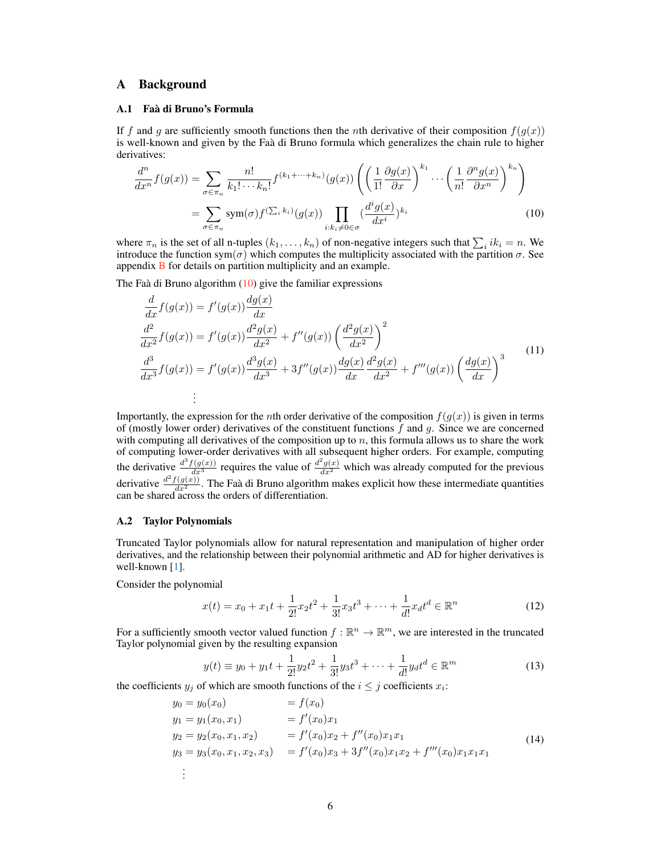# <span id="page-5-0"></span>A Background

## A.1 Faà di Bruno's Formula

If f and g are sufficiently smooth functions then the nth derivative of their composition  $f(g(x))$ is well-known and given by the Faà di Bruno formula which generalizes the chain rule to higher derivatives:

<span id="page-5-3"></span>
$$
\frac{d^n}{dx^n} f(g(x)) = \sum_{\sigma \in \pi_n} \frac{n!}{k_1! \cdots k_n!} f^{(k_1 + \cdots + k_n)}(g(x)) \left( \left( \frac{1}{1!} \frac{\partial g(x)}{\partial x} \right)^{k_1} \cdots \left( \frac{1}{n!} \frac{\partial^n g(x)}{\partial x^n} \right)^{k_n} \right)
$$

$$
= \sum_{\sigma \in \pi_n} \text{sym}(\sigma) f^{(\sum_i k_i)}(g(x)) \prod_{i:k_i \neq 0 \in \sigma} \left( \frac{d^i g(x)}{dx^i} \right)^{k_i} \tag{10}
$$

where  $\pi_n$  is the set of all n-tuples  $(k_1, \ldots, k_n)$  of non-negative integers such that  $\sum_i ik_i = n$ . We introduce the function sym( $\sigma$ ) which computes the multiplicity associated with the partition  $\sigma$ . See appendix [B](#page-6-0) for details on partition multiplicity and an example.

The Faà di Bruno algorithm  $(10)$  give the familiar expressions

<span id="page-5-4"></span>
$$
\frac{d}{dx}f(g(x)) = f'(g(x))\frac{dg(x)}{dx} \n\frac{d^2}{dx^2}f(g(x)) = f'(g(x))\frac{d^2g(x)}{dx^2} + f''(g(x))\left(\frac{d^2g(x)}{dx^2}\right)^2 \n\frac{d^3}{dx^3}f(g(x)) = f'(g(x))\frac{d^3g(x)}{dx^3} + 3f''(g(x))\frac{dg(x)}{dx}\frac{d^2g(x)}{dx^2} + f'''(g(x))\left(\frac{dg(x)}{dx}\right)^3 \n\vdots
$$
\n(11)

Importantly, the expression for the *n*th order derivative of the composition  $f(g(x))$  is given in terms of (mostly lower order) derivatives of the constituent functions  $f$  and  $g$ . Since we are concerned with computing all derivatives of the composition up to  $n$ , this formula allows us to share the work of computing lower-order derivatives with all subsequent higher orders. For example, computing the derivative  $\frac{d^3 f(g(x))}{dx^3}$  requires the value of  $\frac{d^2 g(x)}{dx^2}$  which was already computed for the previous derivative  $\frac{d^2 f(g(x))}{dx^2}$ . The Faà di Bruno algorithm makes explicit how these intermediate quantities can be shared across the orders of differentiation.

## A.2 Taylor Polynomials

Truncated Taylor polynomials allow for natural representation and manipulation of higher order derivatives, and the relationship between their polynomial arithmetic and AD for higher derivatives is well-known [\[1\]](#page-4-0).

Consider the polynomial

<span id="page-5-1"></span>
$$
x(t) = x_0 + x_1 t + \frac{1}{2!} x_2 t^2 + \frac{1}{3!} x_3 t^3 + \dots + \frac{1}{d!} x_d t^d \in \mathbb{R}^n
$$
 (12)

For a sufficiently smooth vector valued function  $f : \mathbb{R}^n \to \mathbb{R}^m$ , we are interested in the truncated Taylor polynomial given by the resulting expansion

<span id="page-5-2"></span>
$$
y(t) \equiv y_0 + y_1 t + \frac{1}{2!} y_2 t^2 + \frac{1}{3!} y_3 t^3 + \dots + \frac{1}{d!} y_d t^d \in \mathbb{R}^m
$$
 (13)

the coefficients  $y_j$  of which are smooth functions of the  $i \leq j$  coefficients  $x_i$ :

$$
y_0 = y_0(x_0)
$$
  
\n
$$
y_1 = y_1(x_0, x_1)
$$
  
\n
$$
y_2 = y_2(x_0, x_1, x_2)
$$
  
\n
$$
y_3 = y_3(x_0, x_1, x_2, x_3)
$$
  
\n
$$
= f'(x_0)x_1
$$
  
\n
$$
= f'(x_0)x_2 + f''(x_0)x_1x_1
$$
  
\n
$$
= f'(x_0)x_3 + 3f''(x_0)x_1x_2 + f'''(x_0)x_1x_1x_1
$$
  
\n
$$
\vdots
$$
  
\n(14)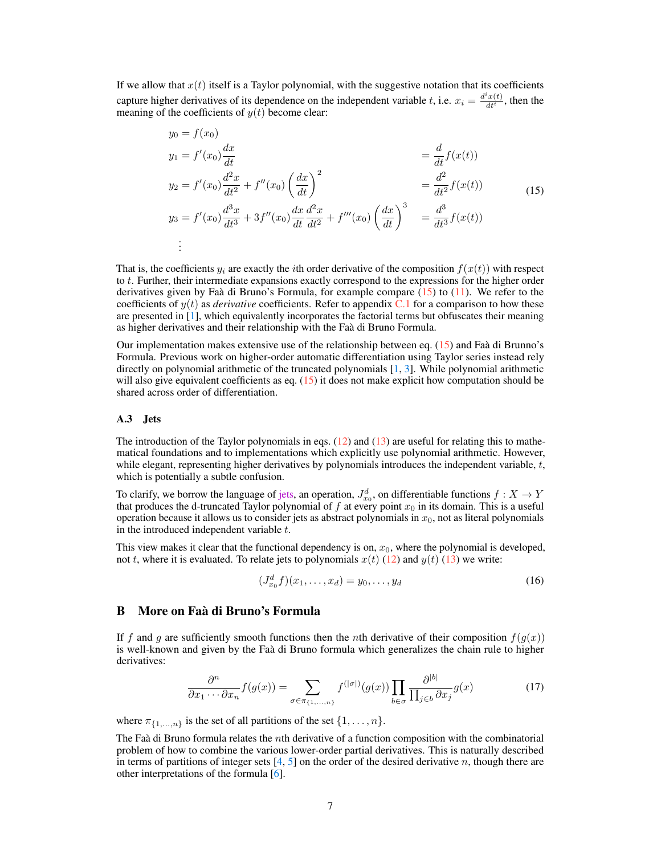If we allow that  $x(t)$  itself is a Taylor polynomial, with the suggestive notation that its coefficients capture higher derivatives of its dependence on the independent variable t, i.e.  $x_i = \frac{d^i x(t)}{dt^i}$  $\frac{x(t)}{dt^i}$ , then the meaning of the coefficients of  $y(t)$  become clear:

<span id="page-6-3"></span>
$$
y_0 = f(x_0)
$$
  
\n
$$
y_1 = f'(x_0) \frac{dx}{dt}
$$
  
\n
$$
y_2 = f'(x_0) \frac{d^2x}{dt^2} + f''(x_0) \left(\frac{dx}{dt}\right)^2
$$
  
\n
$$
y_3 = f'(x_0) \frac{d^3x}{dt^3} + 3f''(x_0) \frac{dx}{dt} \frac{d^2x}{dt^2} + f'''(x_0) \left(\frac{dx}{dt}\right)^3 = \frac{d^3}{dt^3} f(x(t))
$$
  
\n
$$
\vdots
$$
  
\n(15)  
\n(15)

That is, the coefficients  $y_i$  are exactly the *i*th order derivative of the composition  $f(x(t))$  with respect to t. Further, their intermediate expansions exactly correspond to the expressions for the higher order derivatives given by Faà di Bruno's Formula, for example compare [\(15\)](#page-6-3) to [\(11\)](#page-5-4). We refer to the coefficients of  $y(t)$  as *derivative* coefficients. Refer to appendix [C.1](#page-8-0) for a comparison to how these are presented in [\[1\]](#page-4-0), which equivalently incorporates the factorial terms but obfuscates their meaning as higher derivatives and their relationship with the Faà di Bruno Formula.

Our implementation makes extensive use of the relationship between eq.  $(15)$  and Faà di Brunno's Formula. Previous work on higher-order automatic differentiation using Taylor series instead rely directly on polynomial arithmetic of the truncated polynomials [\[1,](#page-4-0) [3\]](#page-4-3). While polynomial arithmetic will also give equivalent coefficients as eq.  $(15)$  it does not make explicit how computation should be shared across order of differentiation.

## <span id="page-6-2"></span>A.3 Jets

The introduction of the Taylor polynomials in eqs.  $(12)$  and  $(13)$  are useful for relating this to mathematical foundations and to implementations which explicitly use polynomial arithmetic. However, while elegant, representing higher derivatives by polynomials introduces the independent variable,  $t$ , which is potentially a subtle confusion.

To clarify, we borrow the language of [jets,](https://en.wikipedia.org/wiki/Jet_(mathematics)) an operation,  $J_{x_0}^d$ , on differentiable functions  $f: X \to Y$ that produces the d-truncated Taylor polynomial of f at every point  $x_0$  in its domain. This is a useful operation because it allows us to consider jets as abstract polynomials in  $x_0$ , not as literal polynomials in the introduced independent variable  $t$ .

This view makes it clear that the functional dependency is on,  $x_0$ , where the polynomial is developed, not t, where it is evaluated. To relate jets to polynomials  $x(t)$  [\(12\)](#page-5-1) and  $y(t)$  [\(13\)](#page-5-2) we write:

<span id="page-6-1"></span>
$$
(J_{x_0}^d f)(x_1, \dots, x_d) = y_0, \dots, y_d
$$
 (16)

# <span id="page-6-0"></span>B More on Faà di Bruno's Formula

If f and g are sufficiently smooth functions then the nth derivative of their composition  $f(g(x))$ is well-known and given by the Faà di Bruno formula which generalizes the chain rule to higher derivatives:

<span id="page-6-4"></span>
$$
\frac{\partial^n}{\partial x_1 \cdots \partial x_n} f(g(x)) = \sum_{\sigma \in \pi_{\{1,\dots,n\}}} f^{(|\sigma|)}(g(x)) \prod_{b \in \sigma} \frac{\partial^{|b|}}{\prod_{j \in b} \partial x_j} g(x) \tag{17}
$$

where  $\pi_{\{1,...,n\}}$  is the set of all partitions of the set  $\{1, \ldots, n\}$ .

The Faà di Bruno formula relates the nth derivative of a function composition with the combinatorial problem of how to combine the various lower-order partial derivatives. This is naturally described in terms of partitions of integer sets  $[4, 5]$  $[4, 5]$  $[4, 5]$  on the order of the desired derivative n, though there are other interpretations of the formula [\[6\]](#page-4-6).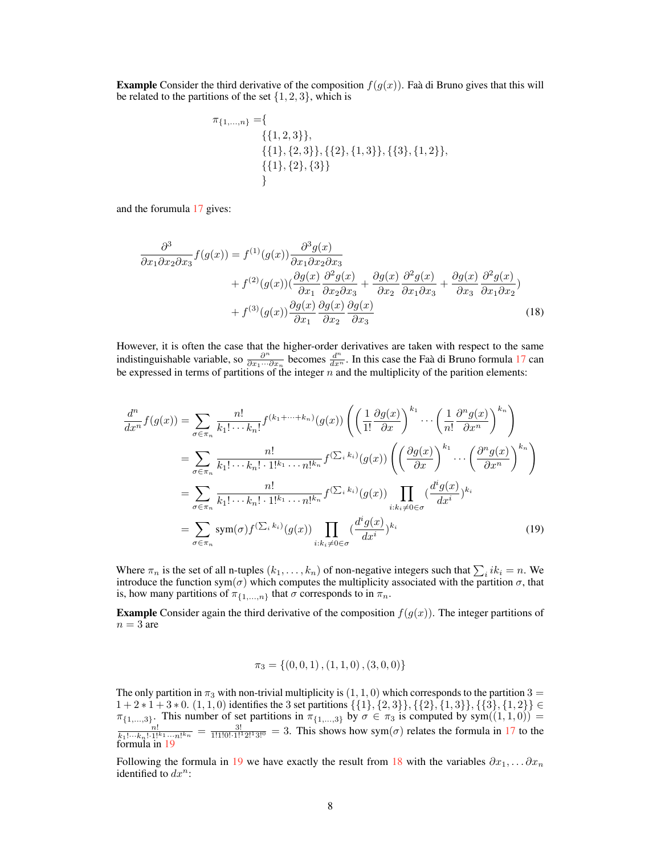**Example** Consider the third derivative of the composition  $f(g(x))$ . Faà di Bruno gives that this will be related to the partitions of the set  $\{1, 2, 3\}$ , which is

<span id="page-7-1"></span>
$$
\pi_{\{1,\ldots,n\}} = \{ \{\{1,2,3\}\}, \{\{2\},\{1,3\}\}, \{\{3\},\{1,2\}\}, \{\{1\},\{2\},\{3\}\} \}
$$

and the forumula [17](#page-6-4) gives:

$$
\frac{\partial^3}{\partial x_1 \partial x_2 \partial x_3} f(g(x)) = f^{(1)}(g(x)) \frac{\partial^3 g(x)}{\partial x_1 \partial x_2 \partial x_3} \n+ f^{(2)}(g(x)) (\frac{\partial g(x)}{\partial x_1} \frac{\partial^2 g(x)}{\partial x_2 \partial x_3} + \frac{\partial g(x)}{\partial x_2} \frac{\partial^2 g(x)}{\partial x_1 \partial x_3} + \frac{\partial g(x)}{\partial x_3} \frac{\partial^2 g(x)}{\partial x_1 \partial x_2}) \n+ f^{(3)}(g(x)) \frac{\partial g(x)}{\partial x_1} \frac{\partial g(x)}{\partial x_2} \frac{\partial g(x)}{\partial x_3}
$$
\n(18)

However, it is often the case that the higher-order derivatives are taken with respect to the same indistinguishable variable, so  $\frac{\partial^n}{\partial x_1...x_n}$  $\frac{\partial^n}{\partial x_1 \cdots \partial x_n}$  becomes  $\frac{d^n}{dx^n}$ . In this case the Faà di Bruno formula [17](#page-6-4) can be expressed in terms of partitions of the integer  $n$  and the multiplicity of the parition elements:

$$
\frac{d^n}{dx^n} f(g(x)) = \sum_{\sigma \in \pi_n} \frac{n!}{k_1! \cdots k_n!} f^{(k_1 + \cdots + k_n)}(g(x)) \left( \left( \frac{1}{1!} \frac{\partial g(x)}{\partial x} \right)^{k_1} \cdots \left( \frac{1}{n!} \frac{\partial^n g(x)}{\partial x^n} \right)^{k_n} \right)
$$
\n
$$
= \sum_{\sigma \in \pi_n} \frac{n!}{k_1! \cdots k_n! \cdot 1!^{k_1} \cdots n!^{k_n}} f^{(\sum_i k_i)}(g(x)) \left( \left( \frac{\partial g(x)}{\partial x} \right)^{k_1} \cdots \left( \frac{\partial^n g(x)}{\partial x^n} \right)^{k_n} \right)
$$
\n
$$
= \sum_{\sigma \in \pi_n} \frac{n!}{k_1! \cdots k_n! \cdot 1!^{k_1} \cdots n!^{k_n}} f^{(\sum_i k_i)}(g(x)) \prod_{i:k_i \neq 0 \in \sigma} \left( \frac{d^i g(x)}{dx^i} \right)^{k_i}
$$
\n
$$
= \sum_{\sigma \in \pi_n} \text{sym}(\sigma) f^{(\sum_i k_i)}(g(x)) \prod_{i:k_i \neq 0 \in \sigma} \left( \frac{d^i g(x)}{dx^i} \right)^{k_i} \tag{19}
$$

Where  $\pi_n$  is the set of all n-tuples  $(k_1, \ldots, k_n)$  of non-negative integers such that  $\sum_i ik_i = n$ . We introduce the function sym $(\sigma)$  which computes the multiplicity associated with the partition  $\sigma$ , that is, how many partitions of  $\pi_{\{1,\ldots,n\}}$  that  $\sigma$  corresponds to in  $\pi_n$ .

**Example** Consider again the third derivative of the composition  $f(g(x))$ . The integer partitions of  $n = 3$  are

<span id="page-7-0"></span>
$$
\pi_3 = \{(0,0,1), (1,1,0), (3,0,0)\}
$$

The only partition in  $\pi_3$  with non-trivial multiplicity is  $(1, 1, 0)$  which corresponds to the partition  $3 =$  $1 + 2 * 1 + 3 * 0$ .  $(1, 1, 0)$  identifies the 3 set partitions  $\{\{1\}, \{2, 3\}\}, \{\{2\}, \{1, 3\}\}, \{\{3\}, \{1, 2\}\} \in$  $\pi_{\{1,\ldots,3\}}$ . This number of set partitions in  $\pi_{\{1,\ldots,3\}}$  by  $\sigma \in \pi_3$  is computed by sym $((1,1,0)) = \frac{n!}{k_1! \cdots k_n! \cdot 1!^{k_1} \cdots n!^{k_n}} = \frac{3!}{1!1!0! \cdot 1!^{12}2!3!^{0}} = 3$ . This shows how sym $(\sigma)$  relates the formula i formula in [19](#page-7-0)

Following the formula in [19](#page-7-0) we have exactly the result from [18](#page-7-1) with the variables  $\partial x_1, \dots \partial x_n$ identified to  $dx^n$ :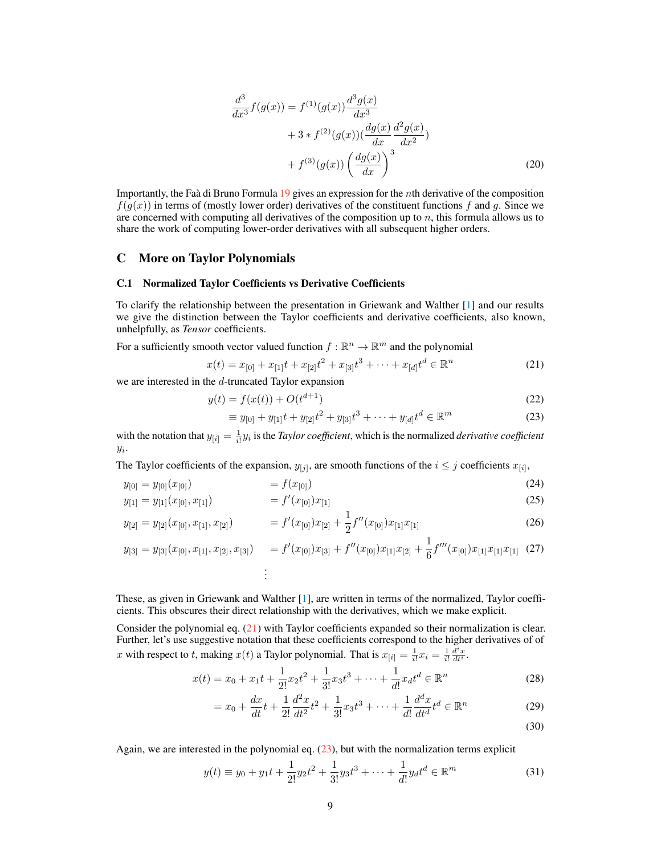<span id="page-8-3"></span>
$$
\frac{d^3}{dx^3} f(g(x)) = f^{(1)}(g(x)) \frac{d^3 g(x)}{dx^3} \n+ 3 * f^{(2)}(g(x)) (\frac{dg(x)}{dx} \frac{d^2 g(x)}{dx^2}) \n+ f^{(3)}(g(x)) (\frac{dg(x)}{dx})^3
$$
\n(20)

Importantly, the Faà di Bruno Formula [19](#page-7-0) gives an expression for the nth derivative of the composition  $f(g(x))$  in terms of (mostly lower order) derivatives of the constituent functions f and g. Since we are concerned with computing all derivatives of the composition up to  $n$ , this formula allows us to share the work of computing lower-order derivatives with all subsequent higher orders.

## C More on Taylor Polynomials

#### <span id="page-8-0"></span>C.1 Normalized Taylor Coefficients vs Derivative Coefficients

To clarify the relationship between the presentation in Griewank and Walther [\[1\]](#page-4-0) and our results we give the distinction between the Taylor coefficients and derivative coefficients, also known, unhelpfully, as *Tensor* coefficients.

For a sufficiently smooth vector valued function  $f : \mathbb{R}^n \to \mathbb{R}^m$  and the polynomial

<span id="page-8-1"></span>
$$
x(t) = x_{[0]} + x_{[1]}t + x_{[2]}t^2 + x_{[3]}t^3 + \dots + x_{[d]}t^d \in \mathbb{R}^n
$$
 (21)

we are interested in the d-truncated Taylor expansion

$$
y(t) = f(x(t)) + O(t^{d+1})
$$
\n(22)

<span id="page-8-2"></span>
$$
\equiv y_{[0]} + y_{[1]}t + y_{[2]}t^2 + y_{[3]}t^3 + \dots + y_{[d]}t^d \in \mathbb{R}^m
$$
\n(23)

with the notation that  $y_{[i]} = \frac{1}{i!} y_i$  is the *Taylor coefficient*, which is the normalized *derivative coefficient*  $y_i$ .

The Taylor coefficients of the expansion,  $y_{[j]}$ , are smooth functions of the  $i \leq j$  coefficients  $x_{[i]}$ ,

$$
y_{[0]} = y_{[0]}(x_{[0]}) = f(x_{[0]}) \tag{24}
$$

$$
y_{[1]} = y_{[1]}(x_{[0]}, x_{[1]}) = f'(x_{[0]})x_{[1]}
$$
\n(25)

$$
y_{[2]} = y_{[2]}(x_{[0]}, x_{[1]}, x_{[2]}) = f'(x_{[0]})x_{[2]} + \frac{1}{2}f''(x_{[0]})x_{[1]}x_{[1]}
$$
\n(26)

$$
y_{[3]} = y_{[3]}(x_{[0]}, x_{[1]}, x_{[2]}, x_{[3]}) = f'(x_{[0]})x_{[3]} + f''(x_{[0]})x_{[1]}x_{[2]} + \frac{1}{6}f'''(x_{[0]})x_{[1]}x_{[1]}x_{[1]} \quad (27)
$$

These, as given in Griewank and Walther [\[1\]](#page-4-0), are written in terms of the normalized, Taylor coefficients. This obscures their direct relationship with the derivatives, which we make explicit.

Consider the polynomial eq. [\(21\)](#page-8-1) with Taylor coefficients expanded so their normalization is clear. Further, let's use suggestive notation that these coefficients correspond to the higher derivatives of of x with respect to t, making  $x(t)$  a Taylor polynomial. That is  $x_{[i]} = \frac{1}{i!}x_i = \frac{1}{i!} \frac{d^i x}{dt^i}$ .

$$
x(t) = x_0 + x_1t + \frac{1}{2!}x_2t^2 + \frac{1}{3!}x_3t^3 + \dots + \frac{1}{d!}x_dt^d \in \mathbb{R}^n
$$
 (28)

$$
= x_0 + \frac{dx}{dt}t + \frac{1}{2!}\frac{d^2x}{dt^2}t^2 + \frac{1}{3!}x_3t^3 + \dots + \frac{1}{d!}\frac{d^dx}{dt^d}t^d \in \mathbb{R}^n
$$
 (29)

(30)

Again, we are interested in the polynomial eq. [\(23\)](#page-8-2), but with the normalization terms explicit

$$
y(t) \equiv y_0 + y_1 t + \frac{1}{2!} y_2 t^2 + \frac{1}{3!} y_3 t^3 + \dots + \frac{1}{d!} y_d t^d \in \mathbb{R}^m
$$
\n(31)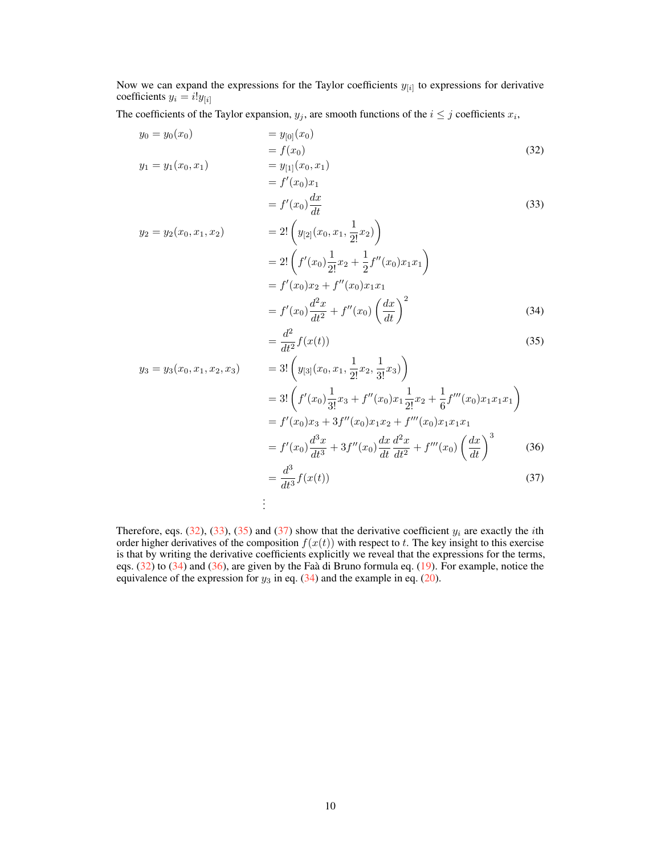Now we can expand the expressions for the Taylor coefficients  $y_{[i]}$  to expressions for derivative coefficients  $y_i = i!y_{[i]}$ 

The coefficients of the Taylor expansion,  $y_j$ , are smooth functions of the  $i \leq j$  coefficients  $x_i$ ,

$$
y_0 = y_0(x_0)
$$
  
=  $y_{[0]}(x_0)$   
=  $f(x_0)$   
=  $y_{[1]}(x_0, x_1)$   
=  $f'(x_0)x_1$   
=  $f'(x_0)x_1$  (32)

<span id="page-9-1"></span><span id="page-9-0"></span>
$$
= f'(x_0) \frac{dx}{dt}
$$
\n(33)

$$
y_2 = y_2(x_0, x_1, x_2)
$$
  
=  $2! \left( y_{[2]}(x_0, x_1, \frac{1}{2!}x_2) \right)$   
=  $2! \left( f'(x_0) \frac{1}{2!} x_2 + \frac{1}{2} f''(x_0) x_1 x_1 \right)$   
=  $f'(x_0) x_2 + f''(x_0) x_1 x_1$   
=  $f'(x_0) \frac{d^2 x}{dt^2} + f''(x_0) \left( \frac{dx}{dt} \right)^2$  (34)

<span id="page-9-5"></span><span id="page-9-4"></span><span id="page-9-3"></span><span id="page-9-2"></span>
$$
=\frac{d^2}{dt^2}f(x(t))
$$
\n(35)

$$
y_3 = y_3(x_0, x_1, x_2, x_3) = 3! \left( y_{[3]}(x_0, x_1, \frac{1}{2!}x_2, \frac{1}{3!}x_3) \right)
$$
  
\n
$$
= 3! \left( f'(x_0) \frac{1}{3!}x_3 + f''(x_0)x_1 \frac{1}{2!}x_2 + \frac{1}{6}f'''(x_0)x_1x_1x_1 \right)
$$
  
\n
$$
= f'(x_0)x_3 + 3f''(x_0)x_1x_2 + f'''(x_0)x_1x_1x_1
$$
  
\n
$$
= f'(x_0) \frac{d^3x}{dt^3} + 3f''(x_0) \frac{dx}{dt} \frac{d^2x}{dt^2} + f'''(x_0) \left( \frac{dx}{dt} \right)^3
$$
  
\n
$$
= \frac{d^3}{dt^3} f(x(t))
$$
  
\n
$$
\vdots
$$
  
\n(37)

Therefore, eqs. [\(32\)](#page-9-0), [\(33\)](#page-9-1), [\(35\)](#page-9-2) and [\(37\)](#page-9-3) show that the derivative coefficient  $y_i$  are exactly the *i*th order higher derivatives of the composition  $f(x(t))$  with respect to t. The key insight to this exercise is that by writing the derivative coefficients explicitly we reveal that the expressions for the terms, eqs. [\(32\)](#page-9-0) to [\(34\)](#page-9-4) and [\(36\)](#page-9-5), are given by the Faà di Bruno formula eq. [\(19\)](#page-7-0). For example, notice the equivalence of the expression for  $y_3$  in eq. [\(34\)](#page-9-4) and the example in eq. [\(20\)](#page-8-3).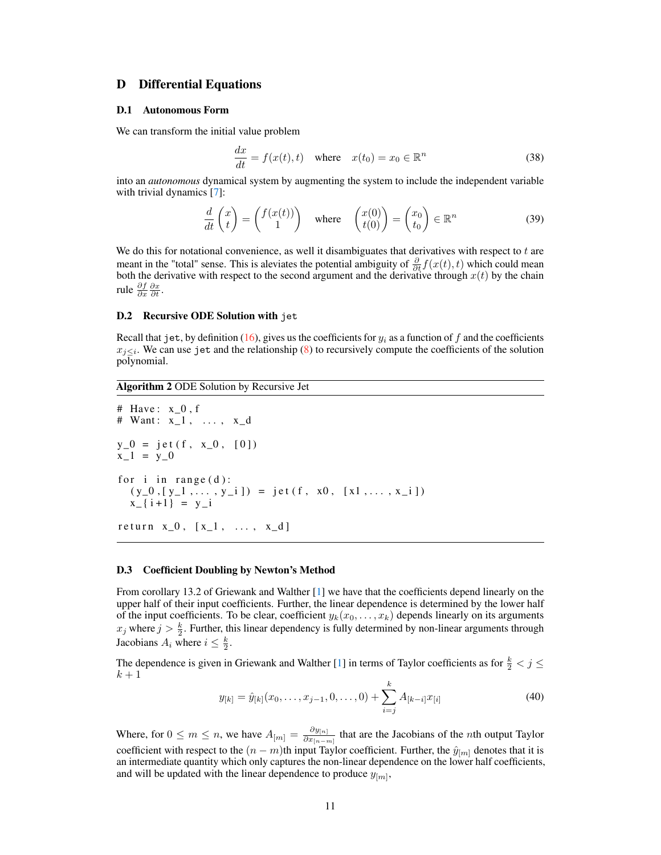# D Differential Equations

#### <span id="page-10-0"></span>D.1 Autonomous Form

We can transform the initial value problem

$$
\frac{dx}{dt} = f(x(t), t) \quad \text{where} \quad x(t_0) = x_0 \in \mathbb{R}^n \tag{38}
$$

into an *autonomous* dynamical system by augmenting the system to include the independent variable with trivial dynamics [\[7\]](#page-4-7):

$$
\frac{d}{dt}\begin{pmatrix} x \\ t \end{pmatrix} = \begin{pmatrix} f(x(t)) \\ 1 \end{pmatrix} \quad \text{where} \quad \begin{pmatrix} x(0) \\ t(0) \end{pmatrix} = \begin{pmatrix} x_0 \\ t_0 \end{pmatrix} \in \mathbb{R}^n \tag{39}
$$

We do this for notational convenience, as well it disambiguates that derivatives with respect to  $t$  are meant in the "total" sense. This is aleviates the potential ambiguity of  $\frac{\partial}{\partial t} f(x(t), t)$  which could mean both the derivative with respect to the second argument and the derivative through  $x(t)$  by the chain rule  $\frac{\partial f}{\partial x} \frac{\partial x}{\partial t}$ .

## <span id="page-10-1"></span>D.2 Recursive ODE Solution with jet

Recall that jet, by definition [\(16\)](#page-6-1), gives us the coefficients for  $y_i$  as a function of f and the coefficients  $x_{j\leq i}$ . We can use jet and the relationship [\(8\)](#page-3-1) to recursively compute the coefficients of the solution polynomial.

## <span id="page-10-2"></span>Algorithm 2 ODE Solution by Recursive Jet

```
# Have: x_0, f
# Want: x_1, \ldots, x_dy_0 = j e t (f, x_0, [0])x_1 = y_0for i in range (d):
  (y_0, [y_1, \ldots, y_i]) = \text{jet}(f, x_0, [x_1, \ldots, x_i])x_{-}{ i + 1 } = y_{-}ir e turn x_0, [x_1, ..., x_d]
```
#### <span id="page-10-3"></span>D.3 Coefficient Doubling by Newton's Method

From corollary 13.2 of Griewank and Walther [\[1\]](#page-4-0) we have that the coefficients depend linearly on the upper half of their input coefficients. Further, the linear dependence is determined by the lower half of the input coefficients. To be clear, coefficient  $y_k(x_0, \ldots, x_k)$  depends linearly on its arguments  $x_j$  where  $j > \frac{k}{2}$ . Further, this linear dependency is fully determined by non-linear arguments through Jacobians  $A_i$  where  $i \leq \frac{k}{2}$ .

The dependence is given in Griewank and Walther [\[1\]](#page-4-0) in terms of Taylor coefficients as for  $\frac{k}{2} < j \le$  $k+1$ 

<span id="page-10-4"></span>
$$
y_{[k]} = \hat{y}_{[k]}(x_0, \dots, x_{j-1}, 0, \dots, 0) + \sum_{i=j}^{k} A_{[k-i]} x_{[i]}
$$
\n(40)

Where, for  $0 \le m \le n$ , we have  $A_{[m]} = \frac{\partial y_{[n]}}{\partial x_{[m]}}$  $\frac{\partial g_{[n]}}{\partial x_{[n-m]}}$  that are the Jacobians of the *n*th output Taylor coefficient with respect to the  $(n - m)$ th input Taylor coefficient. Further, the  $\hat{y}_{[m]}$  denotes that it is an intermediate quantity which only captures the non-linear dependence on the lower half coefficients, and will be updated with the linear dependence to produce  $y_{[m]},$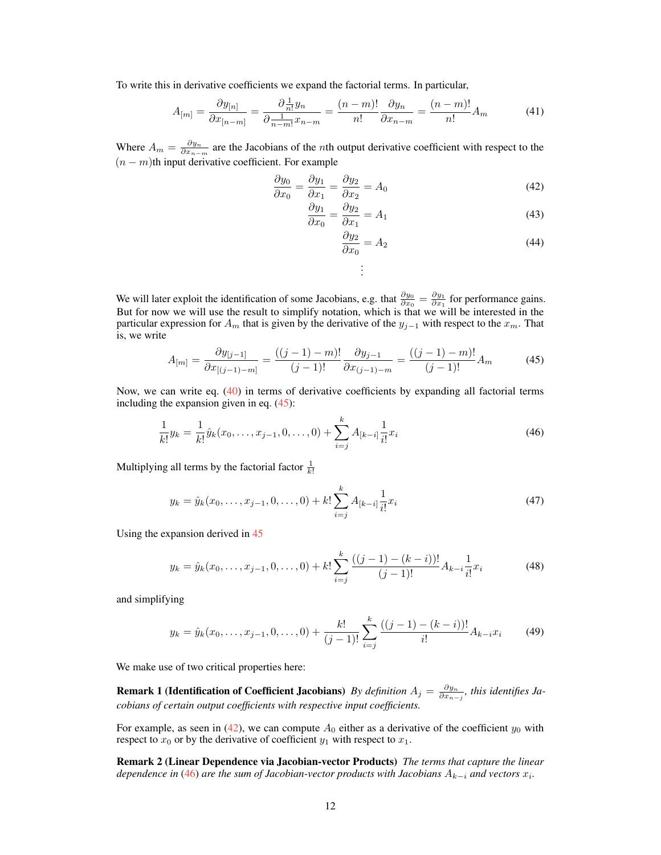To write this in derivative coefficients we expand the factorial terms. In particular,

$$
A_{[m]} = \frac{\partial y_{[n]}}{\partial x_{[n-m]}} = \frac{\partial \frac{1}{n!} y_n}{\partial \frac{1}{n-m!} x_{n-m}} = \frac{(n-m)!}{n!} \frac{\partial y_n}{\partial x_{n-m}} = \frac{(n-m)!}{n!} A_m \tag{41}
$$

Where  $A_m = \frac{\partial y_n}{\partial x_{n-m}}$  are the Jacobians of the *n*th output derivative coefficient with respect to the  $(n - m)$ th input derivative coefficient. For example

$$
\frac{\partial y_0}{\partial x_0} = \frac{\partial y_1}{\partial x_1} = \frac{\partial y_2}{\partial x_2} = A_0 \tag{42}
$$

$$
\frac{\partial y_1}{\partial x_0} = \frac{\partial y_2}{\partial x_1} = A_1 \tag{43}
$$

$$
\frac{\partial y_2}{\partial x_0} = A_2 \tag{44}
$$

We will later exploit the identification of some Jacobians, e.g. that  $\frac{\partial y_0}{\partial x_0} = \frac{\partial y_1}{\partial x_1}$  for performance gains. But for now we will use the result to simplify notation, which is that we will be interested in the particular expression for  $A_m$  that is given by the derivative of the  $y_{j-1}$  with respect to the  $x_m$ . That is, we write

<span id="page-11-0"></span>
$$
A_{[m]} = \frac{\partial y_{[j-1]}}{\partial x_{[(j-1)-m]}} = \frac{((j-1)-m)!}{(j-1)!} \frac{\partial y_{j-1}}{\partial x_{(j-1)-m}} = \frac{((j-1)-m)!}{(j-1)!} A_m \tag{45}
$$

<span id="page-11-2"></span><span id="page-11-1"></span>. . .

Now, we can write eq. [\(40\)](#page-10-4) in terms of derivative coefficients by expanding all factorial terms including the expansion given in eq. [\(45\)](#page-11-0):

$$
\frac{1}{k!}y_k = \frac{1}{k!}\hat{y}_k(x_0,\ldots,x_{j-1},0,\ldots,0) + \sum_{i=j}^k A_{[k-i]} \frac{1}{i!}x_i
$$
\n(46)

Multiplying all terms by the factorial factor  $\frac{1}{k!}$ 

$$
y_k = \hat{y}_k(x_0, \dots, x_{j-1}, 0, \dots, 0) + k! \sum_{i=j}^k A_{[k-i]} \frac{1}{i!} x_i
$$
\n(47)

Using the expansion derived in [45](#page-11-0)

$$
y_k = \hat{y}_k(x_0, \dots, x_{j-1}, 0, \dots, 0) + k! \sum_{i=j}^k \frac{((j-1) - (k-i))!}{(j-1)!} A_{k-i} \frac{1}{i!} x_i
$$
 (48)

and simplifying

<span id="page-11-3"></span>
$$
y_k = \hat{y}_k(x_0, \dots, x_{j-1}, 0, \dots, 0) + \frac{k!}{(j-1)!} \sum_{i=j}^k \frac{((j-1) - (k-i))!}{i!} A_{k-i} x_i \tag{49}
$$

<span id="page-11-5"></span>We make use of two critical properties here:

**Remark 1 (Identification of Coefficient Jacobians)** *By definition*  $A_j = \frac{\partial y_n}{\partial x_{n-j}}$ , this identifies Ja*cobians of certain output coefficients with respective input coefficients.*

For example, as seen in [\(42\)](#page-11-1), we can compute  $A_0$  either as a derivative of the coefficient  $y_0$  with respect to  $x_0$  or by the derivative of coefficient  $y_1$  with respect to  $x_1$ .

<span id="page-11-4"></span>Remark 2 (Linear Dependence via Jacobian-vector Products) *The terms that capture the linear*  $d$ ependence in [\(46\)](#page-11-2) are the sum of Jacobian-vector products with Jacobians  $A_{k-i}$  and vectors  $x_i$ .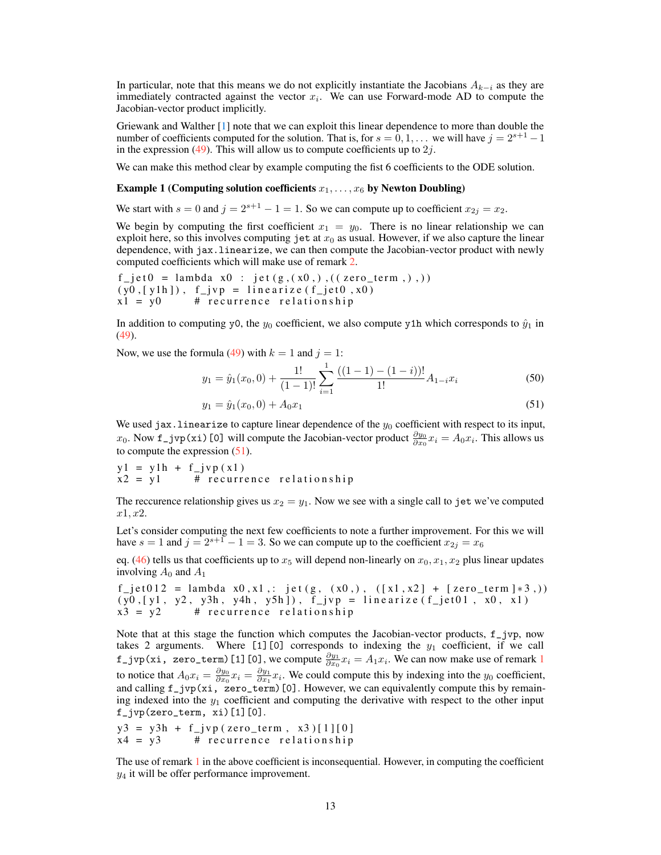In particular, note that this means we do not explicitly instantiate the Jacobians  $A_{k-i}$  as they are immediately contracted against the vector  $x_i$ . We can use Forward-mode AD to compute the Jacobian-vector product implicitly.

Griewank and Walther [\[1\]](#page-4-0) note that we can exploit this linear dependence to more than double the number of coefficients computed for the solution. That is, for  $s = 0, 1, \ldots$  we will have  $j = 2^{s+1} - 1$ in the expression [\(49\)](#page-11-3). This will allow us to compute coefficients up to  $2j$ .

We can make this method clear by example computing the fist 6 coefficients to the ODE solution.

#### Example 1 (Computing solution coefficients  $x_1, \ldots, x_6$  by Newton Doubling)

We start with  $s = 0$  and  $j = 2^{s+1} - 1 = 1$ . So we can compute up to coefficient  $x_{2i} = x_2$ .

We begin by computing the first coefficient  $x_1 = y_0$ . There is no linear relationship we can exploit here, so this involves computing jet at  $x_0$  as usual. However, if we also capture the linear dependence, with jax.linearize, we can then compute the Jacobian-vector product with newly computed coefficients which will make use of remark [2.](#page-11-4)

$$
f_jet0 = lambda x0 : jet(g, (x0,), ((zero_t,),))(y0, [y1h]), f_jvp = linearize(f_jet0, x0)x1 = y0 # recurrence relationship
$$

In addition to computing y0, the  $y_0$  coefficient, we also compute y1h which corresponds to  $\hat{y}_1$  in [\(49\)](#page-11-3).

Now, we use the formula [\(49\)](#page-11-3) with  $k = 1$  and  $j = 1$ :

$$
y_1 = \hat{y}_1(x_0, 0) + \frac{1!}{(1-1)!} \sum_{i=1}^1 \frac{((1-1)-(1-i))!}{1!} A_{1-i} x_i
$$
 (50)

<span id="page-12-0"></span>
$$
y_1 = \hat{y}_1(x_0, 0) + A_0 x_1 \tag{51}
$$

We used jax.linearize to capture linear dependence of the  $y_0$  coefficient with respect to its input,  $x_0$ . Now f\_jvp(xi)[0] will compute the Jacobian-vector product  $\frac{\partial y_0}{\partial x_0}x_i = A_0x_i$ . This allows us to compute the expression  $(51)$ .

$$
y1 = y1h + f_jvp(x1)
$$
  
x2 = y1 # recurrence relationship

The reccurence relationship gives us  $x_2 = y_1$ . Now we see with a single call to jet we've computed  $x1, x2.$ 

Let's consider computing the next few coefficients to note a further improvement. For this we will have  $s = 1$  and  $j = 2^{s+1} - 1 = 3$ . So we can compute up to the coefficient  $x_{2j} = x_6$ 

eq. [\(46\)](#page-11-2) tells us that coefficients up to  $x_5$  will depend non-linearly on  $x_0, x_1, x_2$  plus linear updates involving  $A_0$  and  $A_1$ 

```
f_j = f(12) = \lambda_1 \cdot f(12) + \lambda_2 \cdot f(12) + \lambda_3 \cdot f(12)(y0, [y1, y2, y3h, y4h, y5h]), f_jvp = linearize (f_jet 01, x0, x1)
x3 = y2 # recurrence relationship
```
Note that at this stage the function which computes the Jacobian-vector products,  $f_{ij}$ vp, now takes 2 arguments. Where [1][0] corresponds to indexing the  $y_1$  coefficient, if we call f\_jvp(xi, zero\_term)[[1](#page-11-5)][0], we compute  $\frac{\partial y_1}{\partial x_0}x_i = A_1x_i$ . We can now make use of remark 1 to notice that  $A_0x_i = \frac{\partial y_0}{\partial x_0}x_i = \frac{\partial y_1}{\partial x_1}x_i$ . We could compute this by indexing into the  $y_0$  coefficient, and calling f\_jvp(xi, zero\_term)[0]. However, we can equivalently compute this by remaining indexed into the  $y_1$  coefficient and computing the derivative with respect to the other input f\_jvp(zero\_term, xi)[1][0].

$$
y3 = y3h + f_{jvp}(zero_{term}, x3)[1][0]
$$
  
x4 = y3 # recurrence relationship

The use of remark [1](#page-11-5) in the above coefficient is inconsequential. However, in computing the coefficient  $y_4$  it will be offer performance improvement.